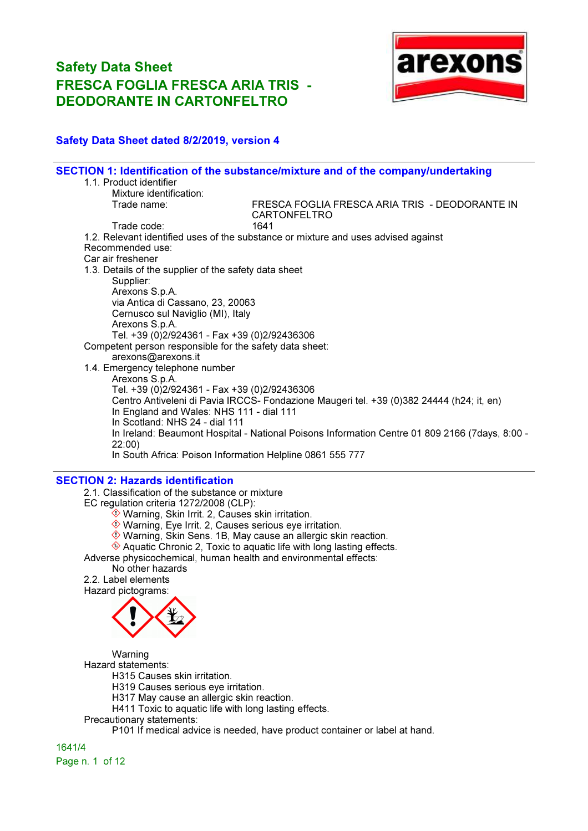

### Safety Data Sheet dated 8/2/2019, version 4

|                                                         | SECTION 1: Identification of the substance/mixture and of the company/undertaking              |
|---------------------------------------------------------|------------------------------------------------------------------------------------------------|
| 1.1. Product identifier                                 |                                                                                                |
| Mixture identification:                                 |                                                                                                |
| Trade name:                                             | FRESCA FOGLIA FRESCA ARIA TRIS - DEODORANTE IN<br><b>CARTONFELTRO</b>                          |
| Trade code:                                             | 1641                                                                                           |
|                                                         | 1.2. Relevant identified uses of the substance or mixture and uses advised against             |
| Recommended use:                                        |                                                                                                |
| Car air freshener                                       |                                                                                                |
| 1.3. Details of the supplier of the safety data sheet   |                                                                                                |
| Supplier:                                               |                                                                                                |
| Arexons S.p.A.                                          |                                                                                                |
| via Antica di Cassano, 23, 20063                        |                                                                                                |
| Cernusco sul Naviglio (MI), Italy                       |                                                                                                |
| Arexons S.p.A.                                          |                                                                                                |
| Tel. +39 (0)2/924361 - Fax +39 (0)2/92436306            |                                                                                                |
| Competent person responsible for the safety data sheet: |                                                                                                |
| arexons@arexons.it                                      |                                                                                                |
| 1.4. Emergency telephone number                         |                                                                                                |
| Arexons S.p.A.                                          |                                                                                                |
| Tel. +39 (0)2/924361 - Fax +39 (0)2/92436306            |                                                                                                |
|                                                         | Centro Antiveleni di Pavia IRCCS- Fondazione Maugeri tel. +39 (0)382 24444 (h24; it, en)       |
| In England and Wales: NHS 111 - dial 111                |                                                                                                |
| In Scotland: NHS 24 - dial 111                          |                                                                                                |
|                                                         | In Ireland: Beaumont Hospital - National Poisons Information Centre 01 809 2166 (7days, 8:00 - |
| 22:00)                                                  |                                                                                                |
|                                                         | In South Africa: Poison Information Helpline 0861 555 777                                      |
|                                                         |                                                                                                |

### SECTION 2: Hazards identification

2.1. Classification of the substance or mixture EC regulation criteria 1272/2008 (CLP):

- $\hat{\textcircled{\ensuremath{\mathbb{R}}}}$  Warning, Skin Irrit. 2, Causes skin irritation.
- Warning, Eye Irrit. 2, Causes serious eye irritation.
- Warning, Skin Sens. 1B, May cause an allergic skin reaction.

 $\triangle$  Aquatic Chronic 2, Toxic to aquatic life with long lasting effects.

Adverse physicochemical, human health and environmental effects:

No other hazards 2.2. Label elements

Hazard pictograms:



Warning Hazard statements: H315 Causes skin irritation.

H319 Causes serious eye irritation.

- H317 May cause an allergic skin reaction.
- H411 Toxic to aquatic life with long lasting effects.
- Precautionary statements:

P101 If medical advice is needed, have product container or label at hand.

1641/4 Page n. 1 of 12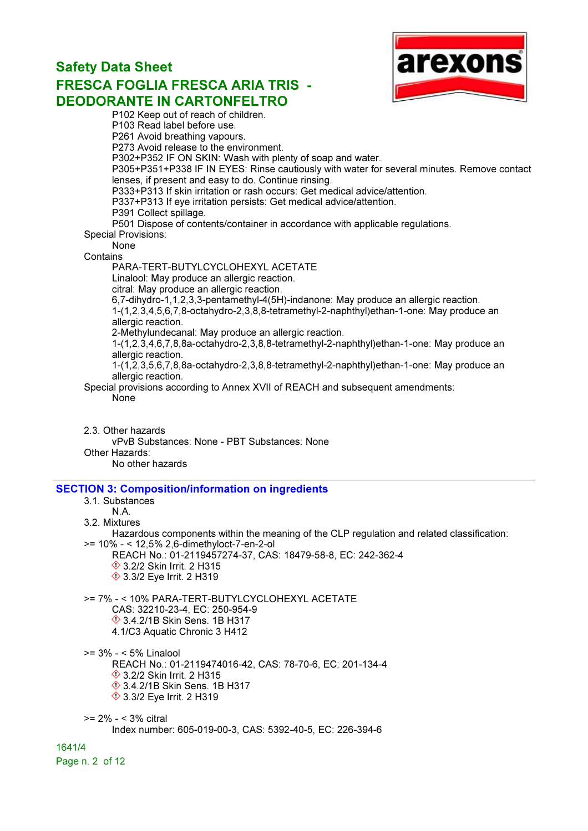

P102 Keep out of reach of children. P103 Read label before use. P261 Avoid breathing vapours. P273 Avoid release to the environment. P302+P352 IF ON SKIN: Wash with plenty of soap and water. P305+P351+P338 IF IN EYES: Rinse cautiously with water for several minutes. Remove contact lenses, if present and easy to do. Continue rinsing. P333+P313 If skin irritation or rash occurs: Get medical advice/attention. P337+P313 If eye irritation persists: Get medical advice/attention. P391 Collect spillage. P501 Dispose of contents/container in accordance with applicable regulations. Special Provisions: None **Contains** PARA-TERT-BUTYLCYCLOHEXYL ACETATE Linalool: May produce an allergic reaction. citral: May produce an allergic reaction. 6,7-dihydro-1,1,2,3,3-pentamethyl-4(5H)-indanone: May produce an allergic reaction. 1-(1,2,3,4,5,6,7,8-octahydro-2,3,8,8-tetramethyl-2-naphthyl)ethan-1-one: May produce an allergic reaction. 2-Methylundecanal: May produce an allergic reaction. 1-(1,2,3,4,6,7,8,8a-octahydro-2,3,8,8-tetramethyl-2-naphthyl)ethan-1-one: May produce an allergic reaction. 1-(1,2,3,5,6,7,8,8a-octahydro-2,3,8,8-tetramethyl-2-naphthyl)ethan-1-one: May produce an allergic reaction. Special provisions according to Annex XVII of REACH and subsequent amendments: None

2.3. Other hazards vPvB Substances: None - PBT Substances: None Other Hazards: No other hazards

### SECTION 3: Composition/information on ingredients

#### 3.1. Substances N.A.

### 3.2. Mixtures

Hazardous components within the meaning of the CLP regulation and related classification: >= 10% - < 12,5% 2,6-dimethyloct-7-en-2-ol

REACH No.: 01-2119457274-37, CAS: 18479-58-8, EC: 242-362-4 **1**3.2/2 Skin Irrit. 2 H315 **♦ 3.3/2 Eye Irrit. 2 H319** 

>= 7% - < 10% PARA-TERT-BUTYLCYCLOHEXYL ACETATE CAS: 32210-23-4, EC: 250-954-9 3.4.2/1B Skin Sens. 1B H317 4.1/C3 Aquatic Chronic 3 H412

>= 3% - < 5% Linalool

REACH No.: 01-2119474016-42, CAS: 78-70-6, EC: 201-134-4 **♦ 3.2/2 Skin Irrit. 2 H315**  3.4.2/1B Skin Sens. 1B H317 3.3/2 Eye Irrit. 2 H319

>= 2% - < 3% citral Index number: 605-019-00-3, CAS: 5392-40-5, EC: 226-394-6

1641/4

Page n. 2 of 12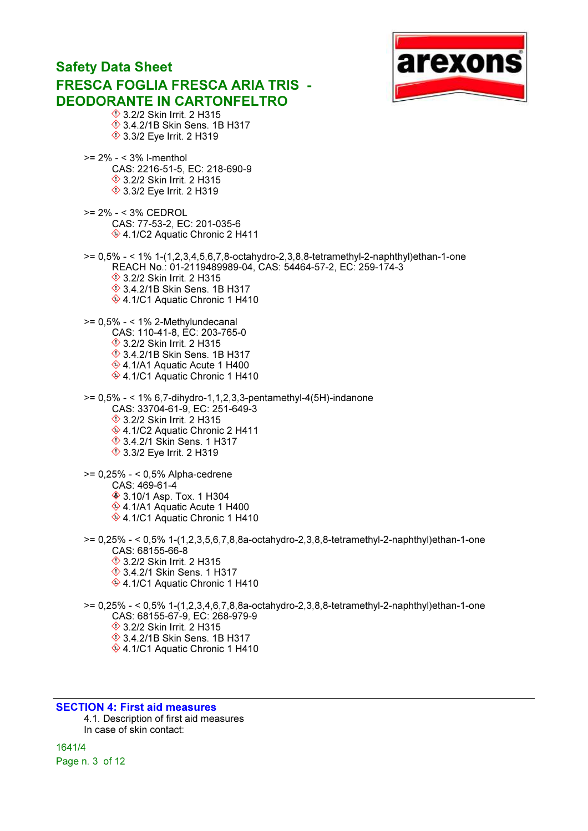### arexon Safety Data Sheet FRESCA FOGLIA FRESCA ARIA TRIS - DEODORANTE IN CARTONFELTRO **♦ 3.2/2 Skin Irrit. 2 H315**  3.4.2/1B Skin Sens. 1B H317 **♦ 3.3/2 Eye Irrit. 2 H319** >= 2% - < 3% l-menthol CAS: 2216-51-5, EC: 218-690-9 **♦ 3.2/2 Skin Irrit. 2 H315 ♦ 3.3/2 Eye Irrit. 2 H319** >= 2% - < 3% CEDROL CAS: 77-53-2, EC: 201-035-6  $\otimes$  4.1/C2 Aquatic Chronic 2 H411 >= 0,5% - < 1% 1-(1,2,3,4,5,6,7,8-octahydro-2,3,8,8-tetramethyl-2-naphthyl)ethan-1-one REACH No.: 01-2119489989-04, CAS: 54464-57-2, EC: 259-174-3 **♦ 3.2/2 Skin Irrit. 2 H315**  3.4.2/1B Skin Sens. 1B H317 ♦ 4.1/C1 Aquatic Chronic 1 H410  $>= 0,5\% - < 1\%$  2-Methylundecanal CAS: 110-41-8, EC: 203-765-0 **♦ 3.2/2 Skin Irrit. 2 H315 1**3.4.2/1B Skin Sens. 1B H317 ♦ 4.1/A1 Aquatic Acute 1 H400 ♦ 4.1/C1 Aquatic Chronic 1 H410 >= 0,5% - < 1% 6,7-dihydro-1,1,2,3,3-pentamethyl-4(5H)-indanone CAS: 33704-61-9, EC: 251-649-3 **♦ 3.2/2 Skin Irrit. 2 H315** ♦ 4.1/C2 Aquatic Chronic 2 H411 3.4.2/1 Skin Sens. 1 H317 **♦ 3.3/2 Eye Irrit. 2 H319**

>= 0,25% - < 0,5% Alpha-cedrene CAS: 469-61-4 **♦ 3.10/1 Asp. Tox. 1 H304** ♦ 4.1/A1 Aquatic Acute 1 H400 ♦ 4.1/C1 Aquatic Chronic 1 H410

>= 0,25% - < 0,5% 1-(1,2,3,5,6,7,8,8a-octahydro-2,3,8,8-tetramethyl-2-naphthyl)ethan-1-one CAS: 68155-66-8 **♦ 3.2/2 Skin Irrit. 2 H315**  3.4.2/1 Skin Sens. 1 H317 ♦ 4.1/C1 Aquatic Chronic 1 H410 >= 0,25% - < 0,5% 1-(1,2,3,4,6,7,8,8a-octahydro-2,3,8,8-tetramethyl-2-naphthyl)ethan-1-one CAS: 68155-67-9, EC: 268-979-9

- **♦ 3.2/2 Skin Irrit. 2 H315**
- 3.4.2/1B Skin Sens. 1B H317
- ♦ 4.1/C1 Aquatic Chronic 1 H410

### SECTION 4: First aid measures

4.1. Description of first aid measures In case of skin contact:

1641/4 Page n. 3 of 12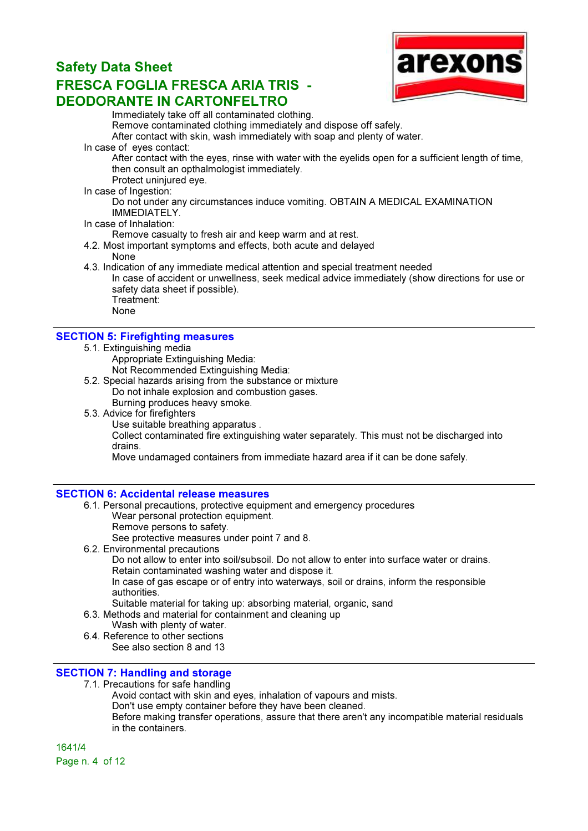

Immediately take off all contaminated clothing. Remove contaminated clothing immediately and dispose off safely. After contact with skin, wash immediately with soap and plenty of water.

In case of eyes contact:

After contact with the eyes, rinse with water with the eyelids open for a sufficient length of time, then consult an opthalmologist immediately.

Protect uninjured eve.

In case of Ingestion:

Do not under any circumstances induce vomiting. OBTAIN A MEDICAL EXAMINATION IMMEDIATELY.

### In case of Inhalation:

Remove casualty to fresh air and keep warm and at rest.

- 4.2. Most important symptoms and effects, both acute and delayed None
- 4.3. Indication of any immediate medical attention and special treatment needed

In case of accident or unwellness, seek medical advice immediately (show directions for use or safety data sheet if possible). Treatment:

- 
- None

### SECTION 5: Firefighting measures

- 5.1. Extinguishing media
	- Appropriate Extinguishing Media:
	- Not Recommended Extinguishing Media:
- 5.2. Special hazards arising from the substance or mixture Do not inhale explosion and combustion gases. Burning produces heavy smoke.
- 5.3. Advice for firefighters
	- Use suitable breathing apparatus .

Collect contaminated fire extinguishing water separately. This must not be discharged into drains.

Move undamaged containers from immediate hazard area if it can be done safely.

### SECTION 6: Accidental release measures

- 6.1. Personal precautions, protective equipment and emergency procedures
	- Wear personal protection equipment.
	- Remove persons to safety.
	- See protective measures under point 7 and 8.
- 6.2. Environmental precautions

Do not allow to enter into soil/subsoil. Do not allow to enter into surface water or drains. Retain contaminated washing water and dispose it.

In case of gas escape or of entry into waterways, soil or drains, inform the responsible authorities.

Suitable material for taking up: absorbing material, organic, sand

- 6.3. Methods and material for containment and cleaning up
	- Wash with plenty of water.
- 6.4. Reference to other sections See also section 8 and 13

### SECTION 7: Handling and storage

7.1. Precautions for safe handling

Avoid contact with skin and eyes, inhalation of vapours and mists.

Don't use empty container before they have been cleaned.

Before making transfer operations, assure that there aren't any incompatible material residuals in the containers.

1641/4 Page n. 4 of 12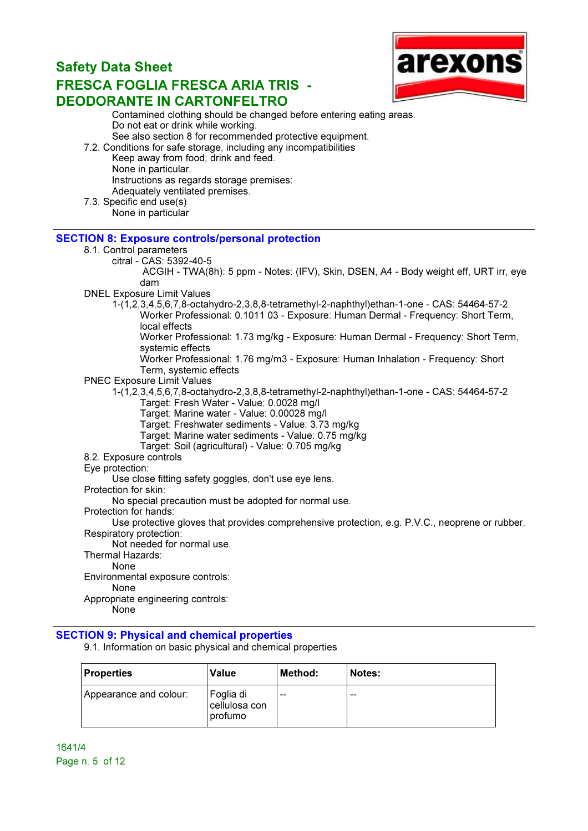

Contamined clothing should be changed before entering eating areas. Do not eat or drink while working. See also section 8 for recommended protective equipment. 7.2. Conditions for safe storage, including any incompatibilities

- Keep away from food, drink and feed. None in particular. Instructions as regards storage premises: Adequately ventilated premises.
- 7.3. Specific end use(s) None in particular

### SECTION 8: Exposure controls/personal protection

- 8.1. Control parameters
	- citral CAS: 5392-40-5

 ACGIH - TWA(8h): 5 ppm - Notes: (IFV), Skin, DSEN, A4 - Body weight eff, URT irr, eye dam

- DNEL Exposure Limit Values
	- 1-(1,2,3,4,5,6,7,8-octahydro-2,3,8,8-tetramethyl-2-naphthyl)ethan-1-one CAS: 54464-57-2 Worker Professional: 0.1011 03 - Exposure: Human Dermal - Frequency: Short Term, local effects

Worker Professional: 1.73 mg/kg - Exposure: Human Dermal - Frequency: Short Term, systemic effects

Worker Professional: 1.76 mg/m3 - Exposure: Human Inhalation - Frequency: Short Term, systemic effects

- PNEC Exposure Limit Values
	- 1-(1,2,3,4,5,6,7,8-octahydro-2,3,8,8-tetramethyl-2-naphthyl)ethan-1-one CAS: 54464-57-2 Target: Fresh Water - Value: 0.0028 mg/l
		- Target: Marine water Value: 0.00028 mg/l
		- Target: Freshwater sediments Value: 3.73 mg/kg
		- Target: Marine water sediments Value: 0.75 mg/kg
		- Target: Soil (agricultural) Value: 0.705 mg/kg
- 8.2. Exposure controls
- Eye protection:

Use close fitting safety goggles, don't use eye lens.

Protection for skin:

No special precaution must be adopted for normal use.

Protection for hands:

Use protective gloves that provides comprehensive protection, e.g. P.V.C., neoprene or rubber. Respiratory protection:

Not needed for normal use.

Thermal Hazards:

None

Environmental exposure controls:

None

Appropriate engineering controls:

**None** 

### SECTION 9: Physical and chemical properties

9.1. Information on basic physical and chemical properties

| <b>Properties</b>      | Value                                 | Method: | Notes: |
|------------------------|---------------------------------------|---------|--------|
| Appearance and colour: | Foglia di<br>cellulosa con<br>profumo | $- -$   | $- -$  |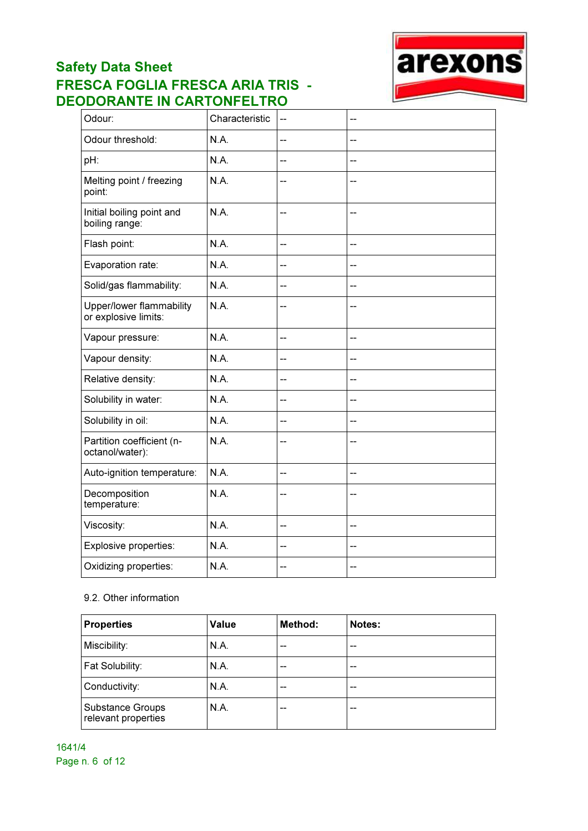

| Odour:                                           | Characteristic | $\overline{a}$           | --                       |
|--------------------------------------------------|----------------|--------------------------|--------------------------|
| Odour threshold:                                 | N.A.           | --                       | --                       |
| pH:                                              | N.A.           | $\overline{\phantom{a}}$ | $-$                      |
| Melting point / freezing<br>point:               | N.A.           | --                       | $-$                      |
| Initial boiling point and<br>boiling range:      | N.A.           | --                       | --                       |
| Flash point:                                     | N.A.           | --                       | $\overline{\phantom{a}}$ |
| Evaporation rate:                                | N.A.           | --                       | --                       |
| Solid/gas flammability:                          | N.A.           | --                       | --                       |
| Upper/lower flammability<br>or explosive limits: | N.A.           | --                       | --                       |
| Vapour pressure:                                 | N.A.           | $-$                      | $\overline{\phantom{a}}$ |
| Vapour density:                                  | N.A.           | --                       | $-$                      |
| Relative density:                                | N.A.           | --                       | $\overline{\phantom{a}}$ |
| Solubility in water:                             | N.A.           | --                       | <u>__</u>                |
| Solubility in oil:                               | N.A.           | --                       | --                       |
| Partition coefficient (n-<br>octanol/water):     | N.A.           | --                       | --                       |
| Auto-ignition temperature:                       | N.A.           | --                       | $-$                      |
| Decomposition<br>temperature:                    | N.A.           | --                       | $-$                      |
| Viscosity:                                       | N.A.           | --                       | $-$                      |
| Explosive properties:                            | N.A.           | --                       | --                       |
| Oxidizing properties:                            | N.A.           | --                       | --                       |

### 9.2. Other information

| <b>Properties</b>                       | Value | Method: | Notes: |
|-----------------------------------------|-------|---------|--------|
| Miscibility:                            | N.A.  | --      | --     |
| Fat Solubility:                         | N.A.  | --      | --     |
| Conductivity:                           | N.A.  | --      | --     |
| Substance Groups<br>relevant properties | N.A.  | --      | --     |

1641/4 Page n. 6 of 12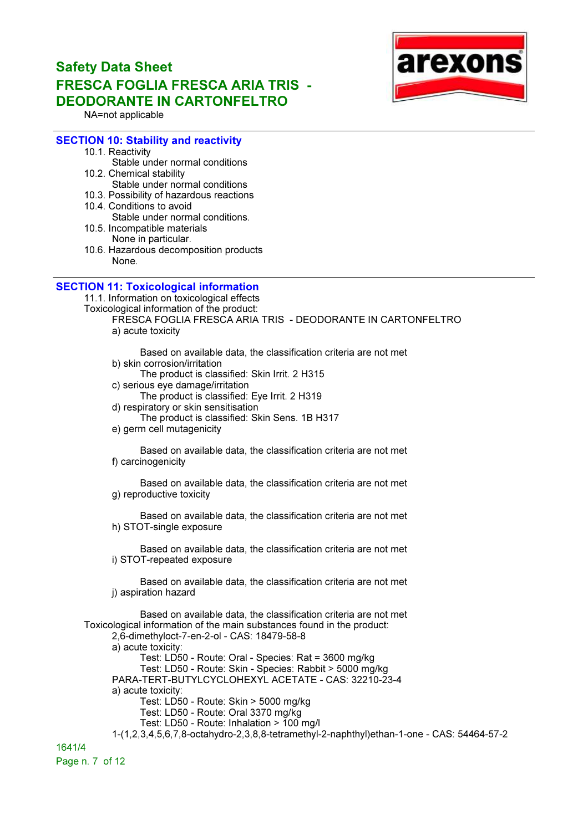

NA=not applicable

#### SECTION 10: Stability and reactivity

- 10.1. Reactivity
- Stable under normal conditions 10.2. Chemical stability
	- Stable under normal conditions
- 10.3. Possibility of hazardous reactions
- 10.4. Conditions to avoid Stable under normal conditions.
- 10.5. Incompatible materials None in particular.
- 10.6. Hazardous decomposition products None.

#### SECTION 11: Toxicological information

11.1. Information on toxicological effects

Toxicological information of the product:

FRESCA FOGLIA FRESCA ARIA TRIS - DEODORANTE IN CARTONFELTRO a) acute toxicity

Based on available data, the classification criteria are not met b) skin corrosion/irritation

- The product is classified: Skin Irrit. 2 H315
- c) serious eye damage/irritation
- The product is classified: Eye Irrit. 2 H319
- d) respiratory or skin sensitisation
- The product is classified: Skin Sens. 1B H317
- e) germ cell mutagenicity

Based on available data, the classification criteria are not met f) carcinogenicity

Based on available data, the classification criteria are not met g) reproductive toxicity

Based on available data, the classification criteria are not met h) STOT-single exposure

Based on available data, the classification criteria are not met i) STOT-repeated exposure

Based on available data, the classification criteria are not met i) aspiration hazard

Based on available data, the classification criteria are not met Toxicological information of the main substances found in the product: 2,6-dimethyloct-7-en-2-ol - CAS: 18479-58-8 a) acute toxicity: Test: LD50 - Route: Oral - Species: Rat = 3600 mg/kg Test: LD50 - Route: Skin - Species: Rabbit > 5000 mg/kg PARA-TERT-BUTYLCYCLOHEXYL ACETATE - CAS: 32210-23-4 a) acute toxicity: Test: LD50 - Route: Skin > 5000 mg/kg Test: LD50 - Route: Oral 3370 mg/kg Test: LD50 - Route: Inhalation > 100 mg/l 1-(1,2,3,4,5,6,7,8-octahydro-2,3,8,8-tetramethyl-2-naphthyl)ethan-1-one - CAS: 54464-57-2 1641/4

Page n. 7 of 12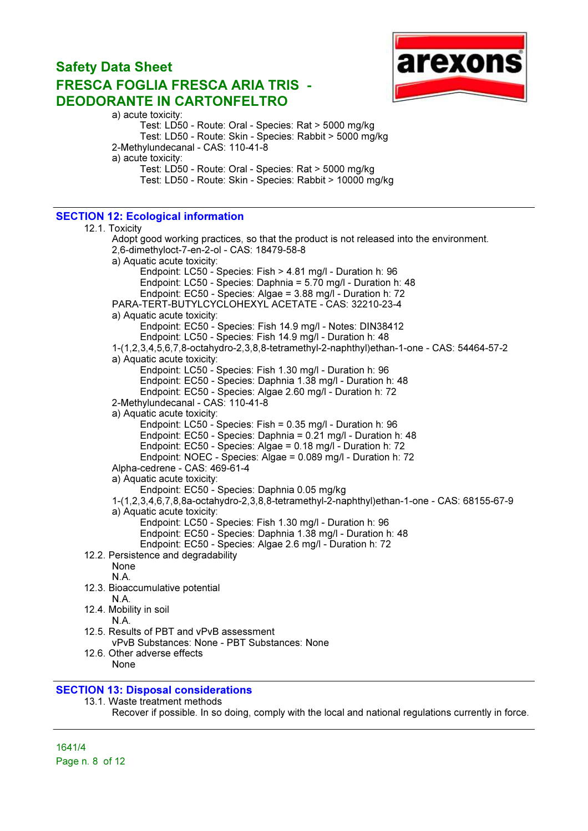

a) acute toxicity: Test: LD50 - Route: Oral - Species: Rat > 5000 mg/kg Test: LD50 - Route: Skin - Species: Rabbit > 5000 mg/kg 2-Methylundecanal - CAS: 110-41-8 a) acute toxicity: Test: LD50 - Route: Oral - Species: Rat > 5000 mg/kg Test: LD50 - Route: Skin - Species: Rabbit > 10000 mg/kg

### SECTION 12: Ecological information

12.1. Toxicity Adopt good working practices, so that the product is not released into the environment. 2,6-dimethyloct-7-en-2-ol - CAS: 18479-58-8 a) Aquatic acute toxicity: Endpoint: LC50 - Species: Fish > 4.81 mg/l - Duration h: 96 Endpoint: LC50 - Species: Daphnia = 5.70 mg/l - Duration h: 48 Endpoint: EC50 - Species: Algae = 3.88 mg/l - Duration h: 72 PARA-TERT-BUTYLCYCLOHEXYL ACETATE - CAS: 32210-23-4 a) Aquatic acute toxicity: Endpoint: EC50 - Species: Fish 14.9 mg/l - Notes: DIN38412 Endpoint: LC50 - Species: Fish 14.9 mg/l - Duration h: 48 1-(1,2,3,4,5,6,7,8-octahydro-2,3,8,8-tetramethyl-2-naphthyl)ethan-1-one - CAS: 54464-57-2 a) Aquatic acute toxicity: Endpoint: LC50 - Species: Fish 1.30 mg/l - Duration h: 96 Endpoint: EC50 - Species: Daphnia 1.38 mg/l - Duration h: 48 Endpoint: EC50 - Species: Algae 2.60 mg/l - Duration h: 72 2-Methylundecanal - CAS: 110-41-8 a) Aquatic acute toxicity: Endpoint: LC50 - Species: Fish = 0.35 mg/l - Duration h: 96 Endpoint: EC50 - Species: Daphnia = 0.21 mg/l - Duration h: 48 Endpoint: EC50 - Species: Algae = 0.18 mg/l - Duration h: 72 Endpoint: NOEC - Species: Algae = 0.089 mg/l - Duration h: 72 Alpha-cedrene - CAS: 469-61-4 a) Aquatic acute toxicity: Endpoint: EC50 - Species: Daphnia 0.05 mg/kg 1-(1,2,3,4,6,7,8,8a-octahydro-2,3,8,8-tetramethyl-2-naphthyl)ethan-1-one - CAS: 68155-67-9 a) Aquatic acute toxicity: Endpoint: LC50 - Species: Fish 1.30 mg/l - Duration h: 96 Endpoint: EC50 - Species: Daphnia 1.38 mg/l - Duration h: 48 Endpoint: EC50 - Species: Algae 2.6 mg/l - Duration h: 72 12.2. Persistence and degradability None N.A. 12.3. Bioaccumulative potential N.A. 12.4. Mobility in soil N.A. 12.5. Results of PBT and vPvB assessment vPvB Substances: None - PBT Substances: None 12.6. Other adverse effects None

#### SECTION 13: Disposal considerations

13.1. Waste treatment methods Recover if possible. In so doing, comply with the local and national regulations currently in force.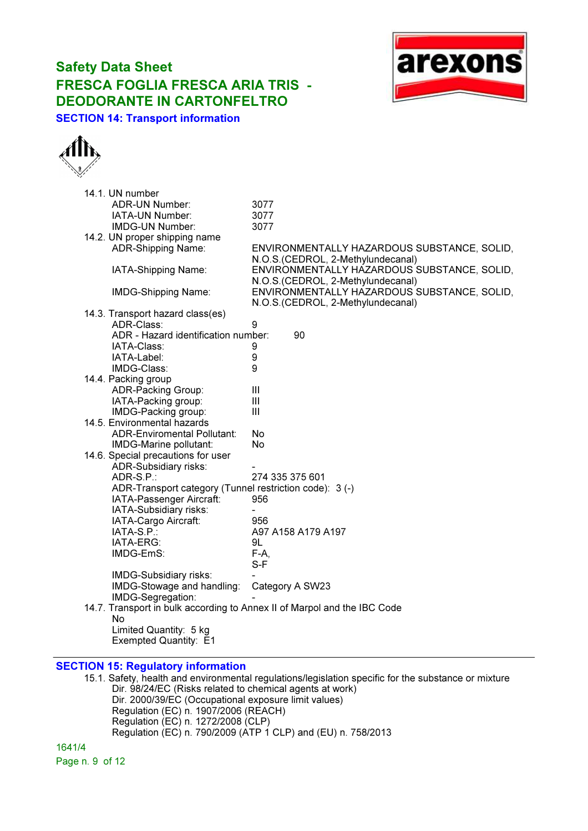### Safety Data Sheet FRESCA FOGLIA FRESCA ARIA TRIS - DEODORANTE IN CARTONFELTRO SECTION 14: Transport information





| 14.1. UN number                    |                                     |                                                                          |
|------------------------------------|-------------------------------------|--------------------------------------------------------------------------|
| <b>ADR-UN Number:</b>              |                                     | 3077                                                                     |
| IATA-UN Number:                    |                                     | 3077                                                                     |
| IMDG-UN Number:                    |                                     | 3077                                                                     |
| 14.2. UN proper shipping name      |                                     |                                                                          |
| ADR-Shipping Name:                 |                                     | ENVIRONMENTALLY HAZARDOUS SUBSTANCE, SOLID,                              |
|                                    |                                     | N.O.S. (CEDROL, 2-Methylundecanal)                                       |
| IATA-Shipping Name:                |                                     | ENVIRONMENTALLY HAZARDOUS SUBSTANCE, SOLID,                              |
|                                    |                                     | N.O.S.(CEDROL, 2-Methylundecanal)                                        |
| IMDG-Shipping Name:                |                                     | ENVIRONMENTALLY HAZARDOUS SUBSTANCE, SOLID,                              |
|                                    |                                     | N.O.S.(CEDROL, 2-Methylundecanal)                                        |
| 14.3. Transport hazard class(es)   |                                     |                                                                          |
| ADR-Class:                         |                                     | 9                                                                        |
|                                    | ADR - Hazard identification number: | 90                                                                       |
| IATA-Class:                        |                                     | 9                                                                        |
| IATA-Label:                        |                                     | 9                                                                        |
| IMDG-Class:                        |                                     | 9                                                                        |
| 14.4. Packing group                |                                     |                                                                          |
| ADR-Packing Group:                 |                                     | $\mathbf{III}$                                                           |
| IATA-Packing group:                |                                     | Ш                                                                        |
| IMDG-Packing group:                |                                     | III                                                                      |
| 14.5. Environmental hazards        |                                     |                                                                          |
|                                    | <b>ADR-Enviromental Pollutant:</b>  | No                                                                       |
| IMDG-Marine pollutant:             |                                     | No                                                                       |
| 14.6. Special precautions for user |                                     |                                                                          |
| ADR-Subsidiary risks:              |                                     |                                                                          |
| ADR-S.P.:                          |                                     | 274 335 375 601                                                          |
|                                    |                                     | ADR-Transport category (Tunnel restriction code): 3 (-)                  |
|                                    | IATA-Passenger Aircraft:            | 956                                                                      |
| IATA-Subsidiary risks:             |                                     |                                                                          |
| IATA-Cargo Aircraft:               |                                     | 956                                                                      |
| IATA-S.P.:                         |                                     | A97 A158 A179 A197                                                       |
| IATA-ERG:                          |                                     | 9L                                                                       |
| IMDG-EmS:                          |                                     | $F-A,$                                                                   |
|                                    |                                     | $S-F$                                                                    |
| IMDG-Subsidiary risks:             | IMDG-Stowage and handling:          |                                                                          |
| IMDG-Segregation:                  |                                     | Category A SW23                                                          |
|                                    |                                     | 14.7. Transport in bulk according to Annex II of Marpol and the IBC Code |
| No                                 |                                     |                                                                          |
| Limited Quantity: 5 kg             |                                     |                                                                          |
| Exempted Quantity: E1              |                                     |                                                                          |
|                                    |                                     |                                                                          |

### SECTION 15: Regulatory information

15.1. Safety, health and environmental regulations/legislation specific for the substance or mixture Dir. 98/24/EC (Risks related to chemical agents at work) Dir. 2000/39/EC (Occupational exposure limit values) Regulation (EC) n. 1907/2006 (REACH) Regulation (EC) n. 1272/2008 (CLP) Regulation  $\overline{(EC)}$  n. 790/2009  $\overline{(ATP \ 1 \ CLP)}$  and  $\overline{(EU)}$  n. 758/2013

1641/4 Page n. 9 of 12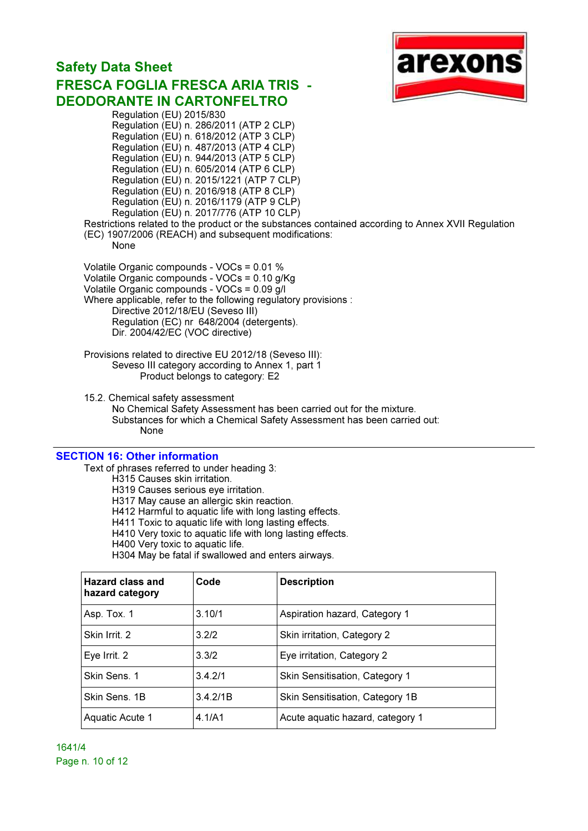### Safety Data Sheet FRESCA FOGLIA FRESCA ARIA TRIS - DEODORANTE IN CARTONFELTRO Regulation (EU) 2015/830



Regulation (EU) n. 286/2011 (ATP 2 CLP) Regulation (EU) n. 618/2012 (ATP 3 CLP) Regulation (EU) n. 487/2013 (ATP 4 CLP) Regulation (EU) n. 944/2013 (ATP 5 CLP) Regulation (EU) n. 605/2014 (ATP 6 CLP) Regulation (EU) n. 2015/1221 (ATP 7 CLP) Regulation (EU) n. 2016/918 (ATP 8 CLP) Regulation (EU) n. 2016/1179 (ATP 9 CLP) Regulation (EU) n. 2017/776 (ATP 10 CLP) Restrictions related to the product or the substances contained according to Annex XVII Regulation (EC) 1907/2006 (REACH) and subsequent modifications: None Volatile Organic compounds - VOCs = 0.01 % Volatile Organic compounds - VOCs = 0.10 g/Kg Volatile Organic compounds - VOCs = 0.09 g/l Where applicable, refer to the following regulatory provisions : Directive 2012/18/EU (Seveso III) Regulation (EC) nr 648/2004 (detergents). Dir. 2004/42/EC (VOC directive) Provisions related to directive EU 2012/18 (Seveso III): Seveso III category according to Annex 1, part 1 Product belongs to category: E2 15.2. Chemical safety assessment No Chemical Safety Assessment has been carried out for the mixture. Substances for which a Chemical Safety Assessment has been carried out: None

#### SECTION 16: Other information

Text of phrases referred to under heading 3:

H315 Causes skin irritation.

H319 Causes serious eye irritation.

H317 May cause an allergic skin reaction.

H412 Harmful to aquatic life with long lasting effects.

H411 Toxic to aquatic life with long lasting effects.

H410 Very toxic to aquatic life with long lasting effects.

H400 Very toxic to aquatic life.

H304 May be fatal if swallowed and enters airways.

| Hazard class and<br>hazard category | Code     | <b>Description</b>               |
|-------------------------------------|----------|----------------------------------|
| Asp. Tox. 1                         | 3.10/1   | Aspiration hazard, Category 1    |
| Skin Irrit. 2                       | 3.2/2    | Skin irritation, Category 2      |
| Eye Irrit. 2                        | 3.3/2    | Eye irritation, Category 2       |
| Skin Sens. 1                        | 3.4.2/1  | Skin Sensitisation, Category 1   |
| Skin Sens, 1B                       | 3.4.2/1B | Skin Sensitisation, Category 1B  |
| Aquatic Acute 1                     | 4.1/A1   | Acute aquatic hazard, category 1 |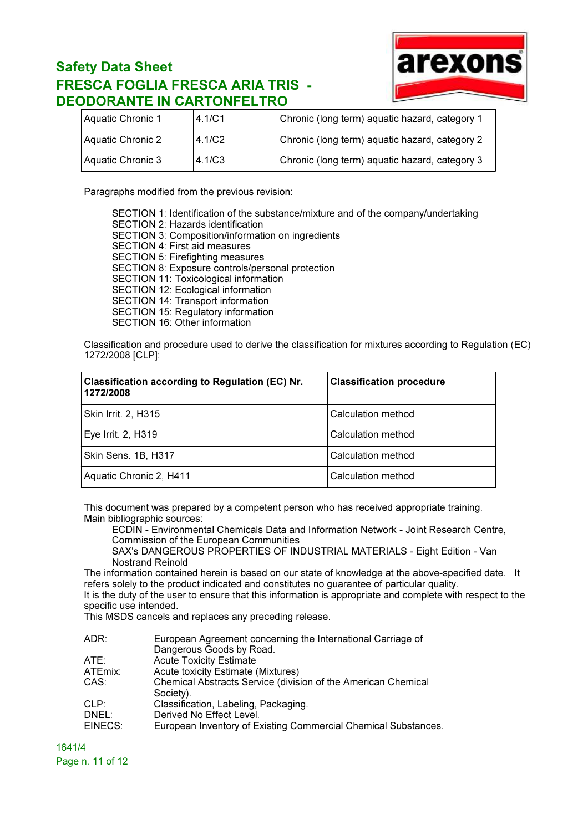

| Aquatic Chronic 1 | 4.1/C1 | Chronic (long term) aquatic hazard, category 1 |
|-------------------|--------|------------------------------------------------|
| Aquatic Chronic 2 | 4.1/C2 | Chronic (long term) aquatic hazard, category 2 |
| Aquatic Chronic 3 | 4.1/C3 | Chronic (long term) aquatic hazard, category 3 |

Paragraphs modified from the previous revision:

SECTION 1: Identification of the substance/mixture and of the company/undertaking SECTION 2: Hazards identification SECTION 3: Composition/information on ingredients SECTION 4: First aid measures SECTION 5: Firefighting measures SECTION 8: Exposure controls/personal protection SECTION 11: Toxicological information SECTION 12: Ecological information SECTION 14: Transport information SECTION 15: Regulatory information SECTION 16: Other information

Classification and procedure used to derive the classification for mixtures according to Regulation (EC) 1272/2008 [CLP]:

| Classification according to Regulation (EC) Nr.<br>1272/2008 | <b>Classification procedure</b> |
|--------------------------------------------------------------|---------------------------------|
| Skin Irrit. 2, H315                                          | Calculation method              |
| Eye Irrit. 2, H319                                           | Calculation method              |
| Skin Sens. 1B, H317                                          | Calculation method              |
| Aquatic Chronic 2, H411                                      | Calculation method              |

This document was prepared by a competent person who has received appropriate training. Main bibliographic sources:

ECDIN - Environmental Chemicals Data and Information Network - Joint Research Centre, Commission of the European Communities

SAX's DANGEROUS PROPERTIES OF INDUSTRIAL MATERIALS - Eight Edition - Van Nostrand Reinold

The information contained herein is based on our state of knowledge at the above-specified date. It refers solely to the product indicated and constitutes no guarantee of particular quality.

It is the duty of the user to ensure that this information is appropriate and complete with respect to the specific use intended.

This MSDS cancels and replaces any preceding release.

| ADR:    | European Agreement concerning the International Carriage of    |
|---------|----------------------------------------------------------------|
|         | Dangerous Goods by Road.                                       |
| ATE:    | <b>Acute Toxicity Estimate</b>                                 |
| ATEmix: | Acute toxicity Estimate (Mixtures)                             |
| CAS:    | Chemical Abstracts Service (division of the American Chemical  |
|         | Society).                                                      |
| CLP:    | Classification, Labeling, Packaging.                           |
| DNEL:   | Derived No Effect Level.                                       |
| EINECS: | European Inventory of Existing Commercial Chemical Substances. |
|         |                                                                |

1641/4 Page n. 11 of 12